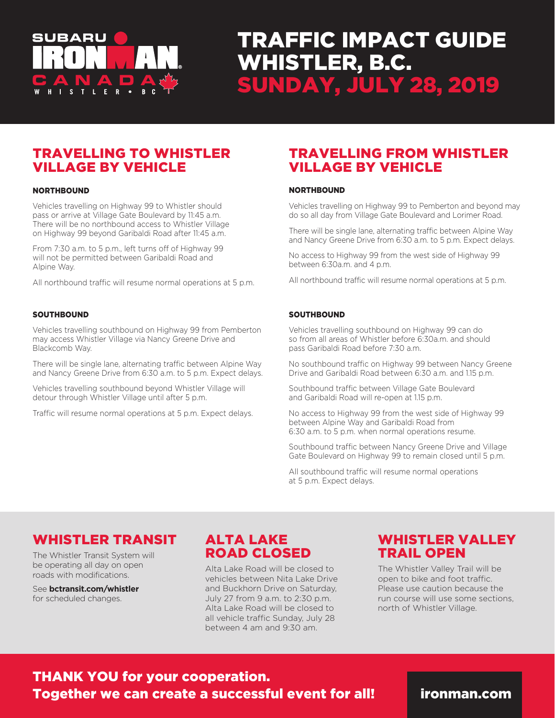

# TRAFFIC IMPACT GUIDE WHISTLER, B.C. SUNDAY, JULY 28, 2019

## TRAVELLING TO WHISTLER VILLAGE BY VEHICLE

#### **NORTHBOUND**

Vehicles travelling on Highway 99 to Whistler should pass or arrive at Village Gate Boulevard by 11:45 a.m. There will be no northbound access to Whistler Village on Highway 99 beyond Garibaldi Road after 11:45 a.m.

From 7:30 a.m. to 5 p.m., left turns off of Highway 99 will not be permitted between Garibaldi Road and Alpine Way.

All northbound traffic will resume normal operations at 5 p.m.

#### **SOUTHBOUND**

Vehicles travelling southbound on Highway 99 from Pemberton may access Whistler Village via Nancy Greene Drive and Blackcomb Way.

There will be single lane, alternating traffic between Alpine Way and Nancy Greene Drive from 6:30 a.m. to 5 p.m. Expect delays.

Vehicles travelling southbound beyond Whistler Village will detour through Whistler Village until after 5 p.m.

Traffic will resume normal operations at 5 p.m. Expect delays.

## TRAVELLING FROM WHISTLER VILLAGE BY VEHICLE

#### **NORTHBOUND**

Vehicles travelling on Highway 99 to Pemberton and beyond may do so all day from Village Gate Boulevard and Lorimer Road.

There will be single lane, alternating traffic between Alpine Way and Nancy Greene Drive from 6:30 a.m. to 5 p.m. Expect delays.

No access to Highway 99 from the west side of Highway 99 between 6:30a.m. and 4 p.m.

All northbound traffic will resume normal operations at 5 p.m.

#### **SOUTHBOUND**

Vehicles travelling southbound on Highway 99 can do so from all areas of Whistler before 6:30a.m. and should pass Garibaldi Road before 7:30 a.m.

No southbound traffic on Highway 99 between Nancy Greene Drive and Garibaldi Road between 6:30 a.m. and 1.15 p.m.

Southbound traffic between Village Gate Boulevard and Garibaldi Road will re-open at 1.15 p.m.

No access to Highway 99 from the west side of Highway 99 between Alpine Way and Garibaldi Road from 6:30 a.m. to 5 p.m. when normal operations resume.

Southbound traffic between Nancy Greene Drive and Village Gate Boulevard on Highway 99 to remain closed until 5 p.m.

All southbound traffic will resume normal operations at 5 p.m. Expect delays.

#### WHISTLER TRANSIT

The Whistler Transit System will be operating all day on open roads with modifications.

See **bctransit.com/whistler** for scheduled changes.

# ALTA LAKE ROAD CLOSED

Alta Lake Road will be closed to vehicles between Nita Lake Drive and Buckhorn Drive on Saturday, July 27 from 9 a.m. to 2:30 p.m. Alta Lake Road will be closed to all vehicle traffic Sunday, July 28 between 4 am and 9:30 am.

## WHISTLER VALLEY TRAIL OPEN

The Whistler Valley Trail will be open to bike and foot traffic. Please use caution because the run course will use some sections, north of Whistler Village.

THANK YOU for your cooperation. Together we can create a successful event for all! ironman.com